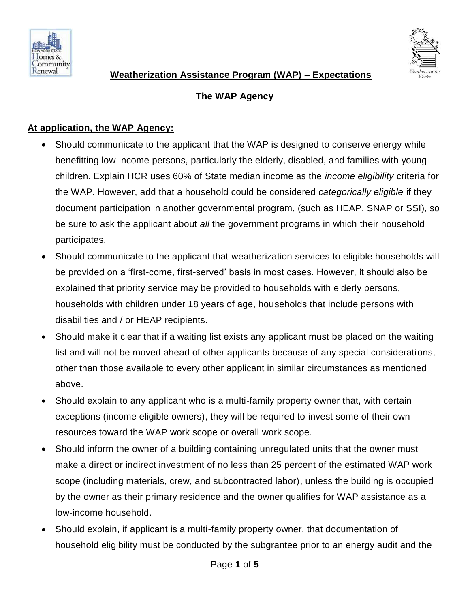



## **The WAP Agency**

#### **At application, the WAP Agency:**

- Should communicate to the applicant that the WAP is designed to conserve energy while benefitting low-income persons, particularly the elderly, disabled, and families with young children. Explain HCR uses 60% of State median income as the *income eligibility* criteria for the WAP. However, add that a household could be considered *categorically eligible* if they document participation in another governmental program, (such as HEAP, SNAP or SSI), so be sure to ask the applicant about *all* the government programs in which their household participates.
- Should communicate to the applicant that weatherization services to eligible households will be provided on a 'first-come, first-served' basis in most cases. However, it should also be explained that priority service may be provided to households with elderly persons, households with children under 18 years of age, households that include persons with disabilities and / or HEAP recipients.
- Should make it clear that if a waiting list exists any applicant must be placed on the waiting list and will not be moved ahead of other applicants because of any special considerations, other than those available to every other applicant in similar circumstances as mentioned above.
- Should explain to any applicant who is a multi-family property owner that, with certain exceptions (income eligible owners), they will be required to invest some of their own resources toward the WAP work scope or overall work scope.
- Should inform the owner of a building containing unregulated units that the owner must make a direct or indirect investment of no less than 25 percent of the estimated WAP work scope (including materials, crew, and subcontracted labor), unless the building is occupied by the owner as their primary residence and the owner qualifies for WAP assistance as a low-income household.
- Should explain, if applicant is a multi-family property owner, that documentation of household eligibility must be conducted by the subgrantee prior to an energy audit and the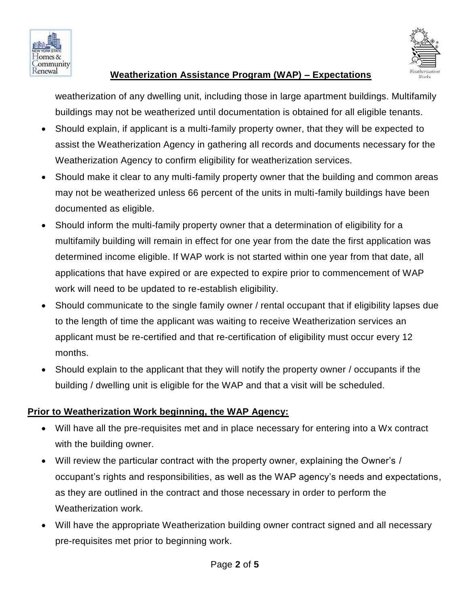



weatherization of any dwelling unit, including those in large apartment buildings. Multifamily buildings may not be weatherized until documentation is obtained for all eligible tenants.

- Should explain, if applicant is a multi-family property owner, that they will be expected to assist the Weatherization Agency in gathering all records and documents necessary for the Weatherization Agency to confirm eligibility for weatherization services.
- Should make it clear to any multi-family property owner that the building and common areas may not be weatherized unless 66 percent of the units in multi-family buildings have been documented as eligible.
- Should inform the multi-family property owner that a determination of eligibility for a multifamily building will remain in effect for one year from the date the first application was determined income eligible. If WAP work is not started within one year from that date, all applications that have expired or are expected to expire prior to commencement of WAP work will need to be updated to re-establish eligibility.
- Should communicate to the single family owner / rental occupant that if eligibility lapses due to the length of time the applicant was waiting to receive Weatherization services an applicant must be re-certified and that re-certification of eligibility must occur every 12 months.
- Should explain to the applicant that they will notify the property owner / occupants if the building / dwelling unit is eligible for the WAP and that a visit will be scheduled.

#### **Prior to Weatherization Work beginning, the WAP Agency:**

- Will have all the pre-requisites met and in place necessary for entering into a Wx contract with the building owner.
- Will review the particular contract with the property owner, explaining the Owner's / occupant's rights and responsibilities, as well as the WAP agency's needs and expectations, as they are outlined in the contract and those necessary in order to perform the Weatherization work.
- Will have the appropriate Weatherization building owner contract signed and all necessary pre-requisites met prior to beginning work.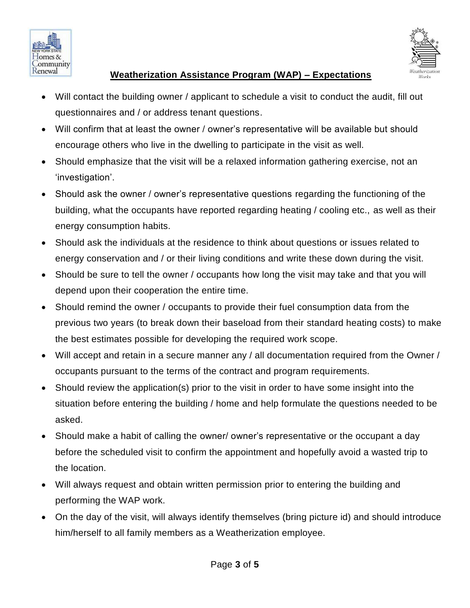



- Will contact the building owner / applicant to schedule a visit to conduct the audit, fill out questionnaires and / or address tenant questions.
- Will confirm that at least the owner / owner's representative will be available but should encourage others who live in the dwelling to participate in the visit as well.
- Should emphasize that the visit will be a relaxed information gathering exercise, not an 'investigation'.
- Should ask the owner / owner's representative questions regarding the functioning of the building, what the occupants have reported regarding heating / cooling etc., as well as their energy consumption habits.
- Should ask the individuals at the residence to think about questions or issues related to energy conservation and / or their living conditions and write these down during the visit.
- Should be sure to tell the owner / occupants how long the visit may take and that you will depend upon their cooperation the entire time.
- Should remind the owner / occupants to provide their fuel consumption data from the previous two years (to break down their baseload from their standard heating costs) to make the best estimates possible for developing the required work scope.
- Will accept and retain in a secure manner any / all documentation required from the Owner / occupants pursuant to the terms of the contract and program requirements.
- Should review the application(s) prior to the visit in order to have some insight into the situation before entering the building / home and help formulate the questions needed to be asked.
- Should make a habit of calling the owner/ owner's representative or the occupant a day before the scheduled visit to confirm the appointment and hopefully avoid a wasted trip to the location.
- Will always request and obtain written permission prior to entering the building and performing the WAP work.
- On the day of the visit, will always identify themselves (bring picture id) and should introduce him/herself to all family members as a Weatherization employee.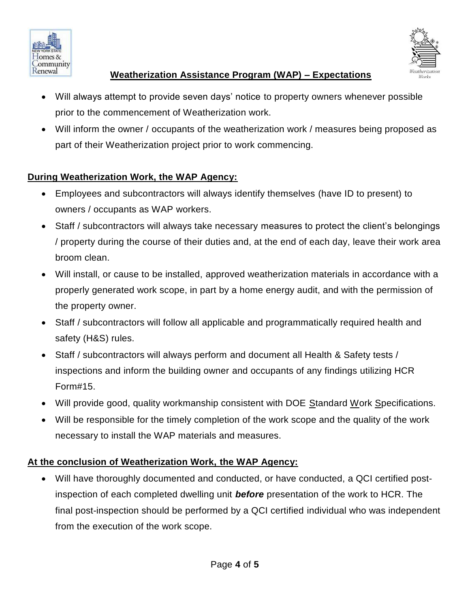



- Will always attempt to provide seven days' notice to property owners whenever possible prior to the commencement of Weatherization work.
- Will inform the owner / occupants of the weatherization work / measures being proposed as part of their Weatherization project prior to work commencing.

## **During Weatherization Work, the WAP Agency:**

- Employees and subcontractors will always identify themselves (have ID to present) to owners / occupants as WAP workers.
- Staff / subcontractors will always take necessary measures to protect the client's belongings / property during the course of their duties and, at the end of each day, leave their work area broom clean.
- Will install, or cause to be installed, approved weatherization materials in accordance with a properly generated work scope, in part by a home energy audit, and with the permission of the property owner.
- Staff / subcontractors will follow all applicable and programmatically required health and safety (H&S) rules.
- Staff / subcontractors will always perform and document all Health & Safety tests / inspections and inform the building owner and occupants of any findings utilizing HCR Form#15.
- Will provide good, quality workmanship consistent with DOE Standard Work Specifications.
- Will be responsible for the timely completion of the work scope and the quality of the work necessary to install the WAP materials and measures.

#### **At the conclusion of Weatherization Work, the WAP Agency:**

 Will have thoroughly documented and conducted, or have conducted, a QCI certified postinspection of each completed dwelling unit *before* presentation of the work to HCR. The final post-inspection should be performed by a QCI certified individual who was independent from the execution of the work scope.